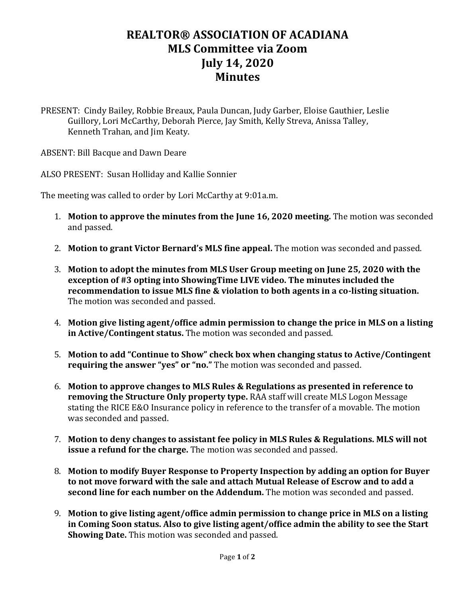## **REALTOR® ASSOCIATION OF ACADIANA MLS Committee via Zoom July 14, 2020 Minutes**

PRESENT: Cindy Bailey, Robbie Breaux, Paula Duncan, Judy Garber, Eloise Gauthier, Leslie Guillory, Lori McCarthy, Deborah Pierce, Jay Smith, Kelly Streva, Anissa Talley, Kenneth Trahan, and Jim Keaty.

ABSENT: Bill Bacque and Dawn Deare

ALSO PRESENT: Susan Holliday and Kallie Sonnier

The meeting was called to order by Lori McCarthy at 9:01a.m.

- 1. **Motion to approve the minutes from the June 16, 2020 meeting.** The motion was seconded and passed.
- 2. **Motion to grant Victor Bernard's MLS fine appeal.** The motion was seconded and passed.
- 3. **Motion to adopt the minutes from MLS User Group meeting on June 25, 2020 with the exception of #3 opting into ShowingTime LIVE video. The minutes included the recommendation to issue MLS fine & violation to both agents in a co-listing situation.**  The motion was seconded and passed.
- 4. **Motion give listing agent/office admin permission to change the price in MLS on a listing in Active/Contingent status.** The motion was seconded and passed.
- 5. **Motion to add "Continue to Show" check box when changing status to Active/Contingent requiring the answer "yes" or "no."** The motion was seconded and passed.
- 6. **Motion to approve changes to MLS Rules & Regulations as presented in reference to removing the Structure Only property type.** RAA staff will create MLS Logon Message stating the RICE E&O Insurance policy in reference to the transfer of a movable. The motion was seconded and passed.
- 7. **Motion to deny changes to assistant fee policy in MLS Rules & Regulations. MLS will not issue a refund for the charge.** The motion was seconded and passed.
- 8. **Motion to modify Buyer Response to Property Inspection by adding an option for Buyer to not move forward with the sale and attach Mutual Release of Escrow and to add a second line for each number on the Addendum.** The motion was seconded and passed.
- 9. **Motion to give listing agent/office admin permission to change price in MLS on a listing in Coming Soon status. Also to give listing agent/office admin the ability to see the Start Showing Date.** This motion was seconded and passed.